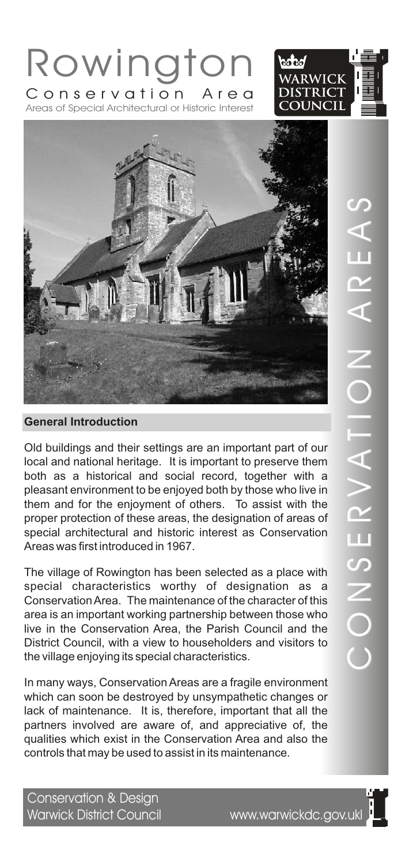



Rowington

Areas of Special Architectural or Historic Interest Conservation Area

Old buildings and their settings are an important part of our local and national heritage. It is important to preserve them both as a historical and social record, together with a pleasant environment to be enjoyed both by those who live in them and for the enjoyment of others. To assist with the proper protection of these areas, the designation of areas of special architectural and historic interest as Conservation Areas was first introduced in 1967.

The village of Rowington has been selected as a place with special characteristics worthy of designation as a Conservation Area. The maintenance of the character of this area is an important working partnership between those who live in the Conservation Area, the Parish Council and the District Council, with a view to householders and visitors to the village enjoying its special characteristics.

In many ways, Conservation Areas are a fragile environment which can soon be destroyed by unsympathetic changes or lack of maintenance. It is, therefore, important that all the partners involved are aware of, and appreciative of, the qualities which exist in the Conservation Area and also the controls that may be used to assist in its maintenance.

 $\bigcirc$ O $\overline{\angle}$  $\boldsymbol{\mathcal{O}}$ E $\boldsymbol{\alpha}$  $>$   $\blacksquare$  $\triangleleft$ T $\frac{\mathsf{O}}{\mathsf{I}}$   $\parallel$  $\overline{\angle}$  $\triangleleft$  $\boldsymbol{\alpha}$ E $\triangleleft$  $\boldsymbol{\mathcal{C}}$ 

Conservation & Design Warwick District Council www.warwickdc.gov.ukl

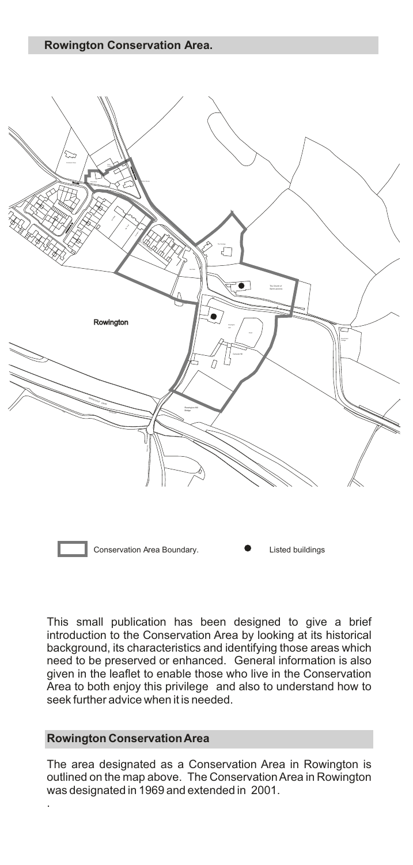

This small publication has been designed to give a brief introduction to the Conservation Area by looking at its historical background, its characteristics and identifying those areas which need to be preserved or enhanced. General information is also given in the leaflet to enable those who live in the Conservation Area to both enjoy this privilege and also to understand how to seek further advice when it is needed.

# **Rowington Conservation Area**

.

The area designated as a Conservation Area in Rowington is outlined on the map above. The Conservation Area in Rowington was designated in 1969 and extended in 2001.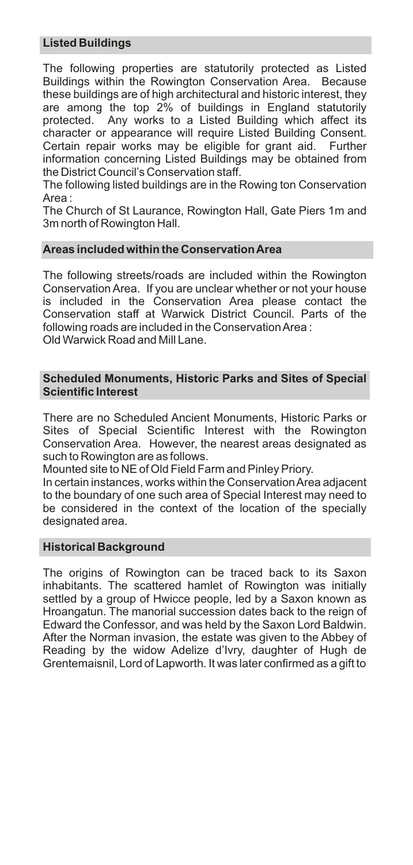# **Listed Buildings**

The following properties are statutorily protected as Listed Buildings within the Rowington Conservation Area. Because these buildings are of high architectural and historic interest, they are among the top 2% of buildings in England statutorily protected. Any works to a Listed Building which affect its character or appearance will require Listed Building Consent. Certain repair works may be eligible for grant aid. Further information concerning Listed Buildings may be obtained from the District Council's Conservation staff.

The following listed buildings are in the Rowing ton Conservation Area :

The Church of St Laurance, Rowington Hall, Gate Piers 1m and 3m north of Rowington Hall.

# **Areas included within the Conservation Area**

The following streets/roads are included within the Rowington Conservation Area. If you are unclear whether or not your house is included in the Conservation Area please contact the Conservation staff at Warwick District Council. Parts of the following roads are included in the Conservation Area : Old Warwick Road and Mill Lane.

## **Scheduled Monuments, Historic Parks and Sites of Special Scientific Interest**

There are no Scheduled Ancient Monuments, Historic Parks or Sites of Special Scientific Interest with the Rowington Conservation Area. However, the nearest areas designated as such to Rowington are as follows.

Mounted site to NE of Old Field Farm and Pinley Priory.

In certain instances, works within the Conservation Area adjacent to the boundary of one such area of Special Interest may need to be considered in the context of the location of the specially designated area.

### **Historical Background**

The origins of Rowington can be traced back to its Saxon inhabitants. The scattered hamlet of Rowington was initially settled by a group of Hwicce people, led by a Saxon known as Hroangatun. The manorial succession dates back to the reign of Edward the Confessor, and was held by the Saxon Lord Baldwin. After the Norman invasion, the estate was given to the Abbey of Reading by the widow Adelize d'Ivry, daughter of Hugh de Grentemaisnil, Lord of Lapworth. It was later confirmed as a gift to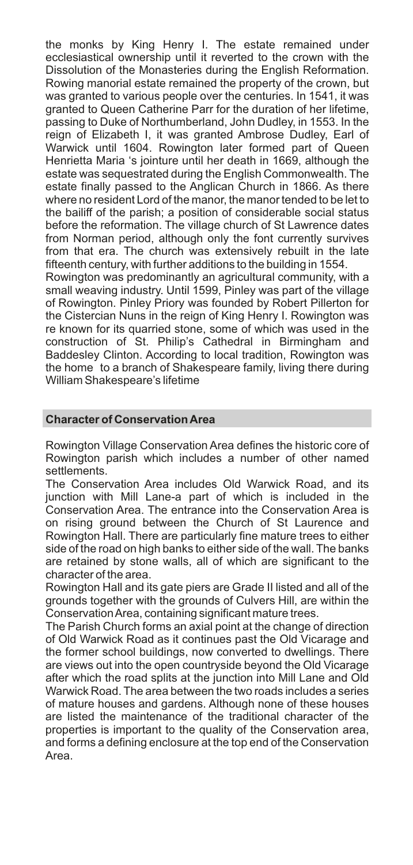the monks by King Henry I. The estate remained under ecclesiastical ownership until it reverted to the crown with the Dissolution of the Monasteries during the English Reformation. Rowing manorial estate remained the property of the crown, but was granted to various people over the centuries. In 1541, it was granted to Queen Catherine Parr for the duration of her lifetime, passing to Duke of Northumberland, John Dudley, in 1553. In the reign of Elizabeth I, it was granted Ambrose Dudley, Earl of Warwick until 1604. Rowington later formed part of Queen Henrietta Maria 's jointure until her death in 1669, although the estate was sequestrated during the English Commonwealth. The estate finally passed to the Anglican Church in 1866. As there where no resident Lord of the manor, the manor tended to be let to the bailiff of the parish; a position of considerable social status before the reformation. The village church of St Lawrence dates from Norman period, although only the font currently survives from that era. The church was extensively rebuilt in the late fifteenth century, with further additions to the building in 1554. Rowington was predominantly an agricultural community, with a small weaving industry. Until 1599, Pinley was part of the village of Rowington. Pinley Priory was founded by Robert Pillerton for the Cistercian Nuns in the reign of King Henry I. Rowington was re known for its quarried stone, some of which was used in the

construction of St. Philip's Cathedral in Birmingham and Baddesley Clinton. According to local tradition, Rowington was the home to a branch of Shakespeare family, living there during William Shakespeare's lifetime

# **Character of Conservation Area**

Rowington Village Conservation Area defines the historic core of Rowington parish which includes a number of other named settlements.

The Conservation Area includes Old Warwick Road, and its junction with Mill Lane-a part of which is included in the Conservation Area. The entrance into the Conservation Area is on rising ground between the Church of St Laurence and Rowington Hall. There are particularly fine mature trees to either side of the road on high banks to either side of the wall. The banks are retained by stone walls, all of which are significant to the character of the area.

Rowington Hall and its gate piers are Grade II listed and all of the grounds together with the grounds of Culvers Hill, are within the Conservation Area, containing significant mature trees.

The Parish Church forms an axial point at the change of direction of Old Warwick Road as it continues past the Old Vicarage and the former school buildings, now converted to dwellings. There are views out into the open countryside beyond the Old Vicarage after which the road splits at the junction into Mill Lane and Old Warwick Road. The area between the two roads includes a series of mature houses and gardens. Although none of these houses are listed the maintenance of the traditional character of the properties is important to the quality of the Conservation area, and forms a defining enclosure at the top end of the Conservation Area.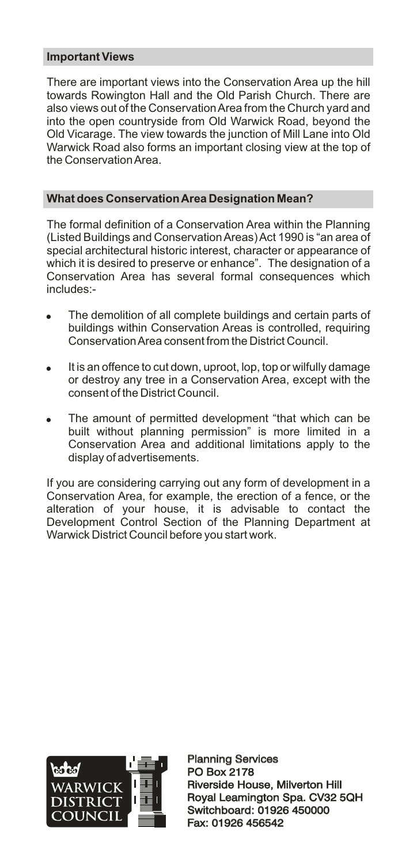# **Important Views**

There are important views into the Conservation Area up the hill towards Rowington Hall and the Old Parish Church. There are also views out of the Conservation Area from the Church yard and into the open countryside from Old Warwick Road, beyond the Old Vicarage. The view towards the junction of Mill Lane into Old Warwick Road also forms an important closing view at the top of the Conservation Area.

# **What does Conservation Area Designation Mean?**

The formal definition of a Conservation Area within the Planning (Listed Buildings and Conservation Areas) Act 1990 is "an area of special architectural historic interest, character or appearance of which it is desired to preserve or enhance". The designation of a Conservation Area has several formal consequences which includes:-

- The demolition of all complete buildings and certain parts of buildings within Conservation Areas is controlled, requiring Conservation Area consent from the District Council.
- It is an offence to cut down, uproot, lop, top or wilfully damage or destroy any tree in a Conservation Area, except with the consent of the District Council.
- The amount of permitted development "that which can be built without planning permission" is more limited in a Conservation Area and additional limitations apply to the display of advertisements.

If you are considering carrying out any form of development in a Conservation Area, for example, the erection of a fence, or the alteration of your house, it is advisable to contact the Development Control Section of the Planning Department at Warwick District Council before you start work.



Planning Services PO Box 2178 Planning Services<br>PO Box 2178<br>Riverside House, Milverton Hill Royal Leamington Spa. CV32 5QH Switchboard: 01926 450000 Fax: 01926 456542 Royal Leamington Spa. CV32<br>Switchboard: 01926 450000<br>Fax: 01926 456542